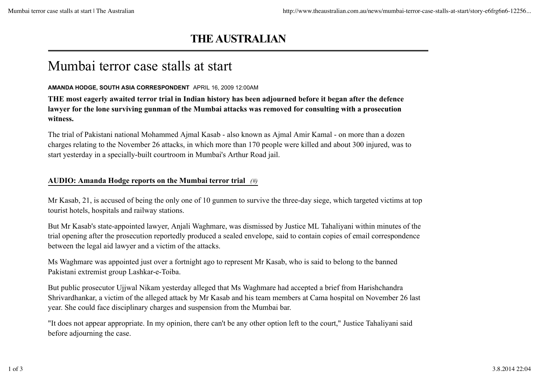## **THE AUSTRALIAN**

## Mumbai terror case stalls at start

## **AMANDA HODGE, SOUTH ASIA CORRESPONDENT** APRIL 16, 2009 12:00AM

**THE most eagerly awaited terror trial in Indian history has been adjourned before it began after the defence lawyer for the lone surviving gunman of the Mumbai attacks was removed for consulting with a prosecution witness.**

The trial of Pakistani national Mohammed Ajmal Kasab - also known as Ajmal Amir Kamal - on more than a dozen charges relating to the November 26 attacks, in which more than 170 people were killed and about 300 injured, was to start yesterday in a specially-built courtroom in Mumbai's Arthur Road jail.

## **AUDIO: Amanda Hodge reports on the Mumbai terror trial** *(#)*

Mr Kasab, 21, is accused of being the only one of 10 gunmen to survive the three-day siege, which targeted victims at top tourist hotels, hospitals and railway stations.

But Mr Kasab's state-appointed lawyer, Anjali Waghmare, was dismissed by Justice ML Tahaliyani within minutes of the trial opening after the prosecution reportedly produced a sealed envelope, said to contain copies of email correspondence between the legal aid lawyer and a victim of the attacks.

Ms Waghmare was appointed just over a fortnight ago to represent Mr Kasab, who is said to belong to the banned Pakistani extremist group Lashkar-e-Toiba.

But public prosecutor Ujjwal Nikam yesterday alleged that Ms Waghmare had accepted a brief from Harishchandra Shrivardhankar, a victim of the alleged attack by Mr Kasab and his team members at Cama hospital on November 26 last year. She could face disciplinary charges and suspension from the Mumbai bar.

"It does not appear appropriate. In my opinion, there can't be any other option left to the court," Justice Tahaliyani said before adjourning the case.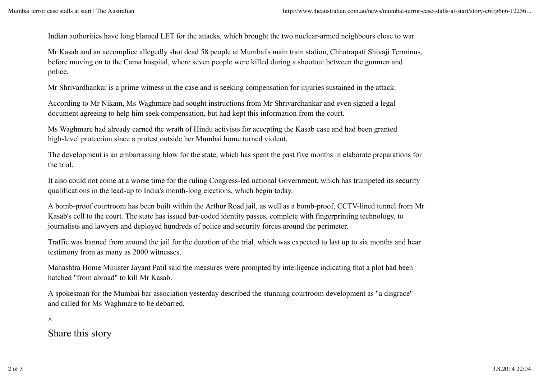Indian authorities have long blamed LET for the attacks, which brought the two nuclear-armed neighbours close to war.

Mr Kasab and an accomplice allegedly shot dead 58 people at Mumbai's main train station, Chhatrapati Shivaji Terminus, before moving on to the Cama hospital, where seven people were killed during a shootout between the gunmen and police.

Mr Shrivardhankar is a prime witness in the case and is seeking compensation for injuries sustained in the attack.

According to Mr Nikam, Ms Waghmare had sought instructions from Mr Shrivardhankar and even signed a legal document agreeing to help him seek compensation, but had kept this information from the court.

Ms Waghmare had already earned the wrath of Hindu activists for accepting the Kasab case and had been granted high-level protection since a protest outside her Mumbai home turned violent.

The development is an embarrassing blow for the state, which has spent the past five months in elaborate preparations for the trial.

It also could not come at a worse time for the ruling Congress-led national Government, which has trumpeted its security qualifications in the lead-up to India's month-long elections, which begin today.

A bomb-proof courtroom has been built within the Arthur Road jail, as well as a bomb-proof, CCTV-lined tunnel from Mr Kasab's cell to the court. The state has issued bar-coded identity passes, complete with fingerprinting technology, to journalists and lawyers and deployed hundreds of police and security forces around the perimeter.

Traffic was banned from around the jail for the duration of the trial, which was expected to last up to six months and hear testimony from as many as 2000 witnesses.

Mahashtra Home Minister Jayant Patil said the measures were prompted by intelligence indicating that a plot had been hatched "from abroad" to kill Mr Kasab.

A spokesman for the Mumbai bar association yesterday described the stunning courtroom development as "a disgrace" and called for Ms Waghmare to be debarred.

×

Share this story